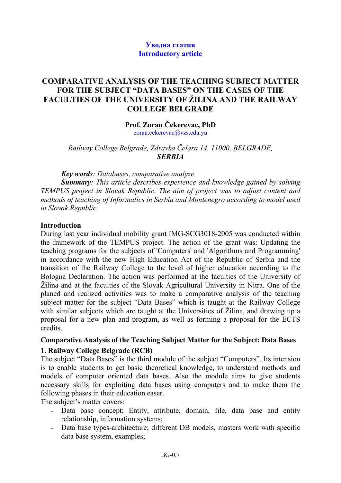### **Уводна статия Introductory article**

## **COMPARATIVE ANALYSIS OF THE TEACHING SUBJECT MATTER FOR THE SUBJECT "DATA BASES" ON THE CASES OF THE FACULTIES OF THE UNIVERSITY OF ŽILINA AND THE RAILWAY COLLEGE BELGRADE**

#### **Prof. Zoran Čekerevac, PhD**

[zoran.cekerevac@vzs.edu.yu](mailto:zoran.cekerevac@vzs.edu.yu)

*Railway College Belgrade, Zdravka Čelara 14, 11000, BELGRADE, SERBIA*

*Key words: Databases, comparative analyze* 

*Summary: This article describes experience and knowledge gained by solving TEMPUS project in Slovak Republic. The aim of project was to adjust content and methods of teaching of Informatics in Serbia and Montenegro according to model used in Slovak Republic.* 

#### **Introduction**

During last year individual mobility grant IMG-SCG3018-2005 was conducted within the framework of the TEMPUS project. The action of the grant was: Updating the teaching programs for the subjects of 'Computers' and 'Algorithms and Programming' in accordance with the new High Education Act of the Republic of Serbia and the transition of the Railway College to the level of higher education according to the Bologna Declaration. The action was performed at the faculties of the University of Žilina and at the faculties of the Slovak Agricultural University in Nitra. One of the planed and realized activities was to make a comparative analysis of the teaching subject matter for the subject "Data Bases" which is taught at the Railway College with similar subjects which are taught at the Universities of  $\check{Z}$ ilina, and drawing up a proposal for a new plan and program, as well as forming a proposal for the ECTS credits.

### **Comparative Analysis of the Teaching Subject Matter for the Subject: Data Bases 1. Railway College Belgrade (RCB)**

The subject "Data Bases" is the third module of the subject "Computers". Its intension is to enable students to get basic theoretical knowledge, to understand methods and models of computer oriented data bases. Also the module aims to give students necessary skills for exploiting data bases using computers and to make them the following phases in their education easer.

The subject's matter covers:

- Data base concept; Entity, attribute, domain, file, data base and entity relationship, information systems;
- Data base types-architecture; different DB models, masters work with specific data base system, examples;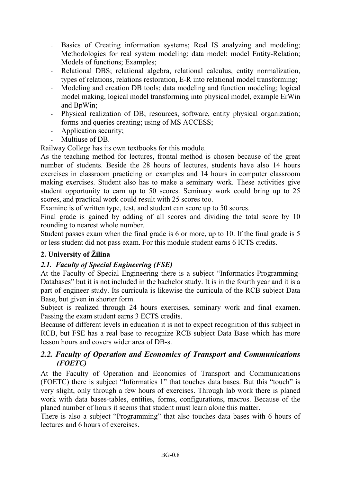- Basics of Creating information systems; Real IS analyzing and modeling; Methodologies for real system modeling; data model: model Entity-Relation; Models of functions; Examples;
- Relational DBS; relational algebra, relational calculus, entity normalization, types of relations, relations restoration, E-R into relational model transforming;
- Modeling and creation DB tools; data modeling and function modeling; logical model making, logical model transforming into physical model, example ErWin and BpWin;
- Physical realization of DB; resources, software, entity physical organization; forms and queries creating; using of MS ACCESS;
- Application security;
- Multiuse of DB.

Railway College has its own textbooks for this module.

As the teaching method for lectures, frontal method is chosen because of the great number of students. Beside the 28 hours of lectures, students have also 14 hours exercises in classroom practicing on examples and 14 hours in computer classroom making exercises. Student also has to make a seminary work. These activities give student opportunity to earn up to 50 scores. Seminary work could bring up to 25 scores, and practical work could result with 25 scores too.

Examine is of written type, test, and student can score up to 50 scores.

Final grade is gained by adding of all scores and dividing the total score by 10 rounding to nearest whole number.

Student passes exam when the final grade is 6 or more, up to 10. If the final grade is 5 or less student did not pass exam. For this module student earns 6 ICTS credits.

# **2. University of Žilina**

### *2.1. Faculty of Special Engineering (FSE)*

At the Faculty of Special Engineering there is a subject "Informatics-Programming-Databases" but it is not included in the bachelor study. It is in the fourth year and it is a part of engineer study. Its curricula is likewise the curricula of the RCB subject Data Base, but given in shorter form.

Subject is realized through 24 hours exercises, seminary work and final examen. Passing the exam student earns 3 ECTS credits.

Because of different levels in education it is not to expect recognition of this subject in RCB, but FSE has a real base to recognize RCB subject Data Base which has more lesson hours and covers wider area of DB-s.

### *2.2. Faculty of Operation and Economics of Transport and Communications (FOETC)*

At the Faculty of Operation and Economics of Transport and Communications (FOETC) there is subject "Informatics 1" that touches data bases. But this "touch" is very slight, only through a few hours of exercises. Through lab work there is planed work with data bases-tables, entities, forms, configurations, macros. Because of the planed number of hours it seems that student must learn alone this matter.

There is also a subject "Programming" that also touches data bases with 6 hours of lectures and 6 hours of exercises.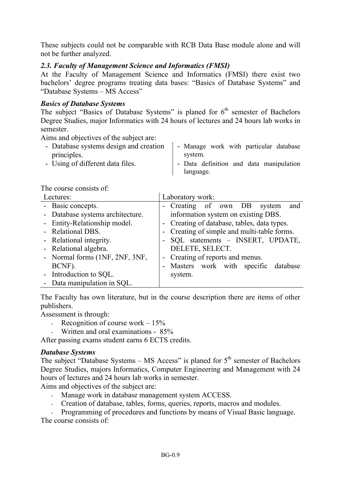These subjects could not be comparable with RCB Data Base module alone and will not be further analyzed.

## *2.3. Faculty of Management Science and Informatics (FMSI)*

At the Faculty of Management Science and Informatics (FMSI) there exist two bachelors' degree programs treating data bases: "Basics of Database Systems" and "Database Systems – MS Access"

### *Basics of Database Systems*

The subject "Basics of Database Systems" is planed for  $6<sup>th</sup>$  semester of Bachelors Degree Studies, major Informatics with 24 hours of lectures and 24 hours lab works in semester.

Aims and objectives of the subject are:

| - Database systems design and creation | - Manage work with particular database  |
|----------------------------------------|-----------------------------------------|
| principles.                            | system.                                 |
| - Using of different data files.       | - Data definition and data manipulation |
|                                        | language.                               |

The course consists of:

| Lectures:                        | Laboratory work:                            |
|----------------------------------|---------------------------------------------|
| - Basic concepts.                | - Creating of own DB system<br>and          |
| - Database systems architecture. | information system on existing DBS.         |
| - Entity-Relationship model.     | - Creating of database, tables, data types. |
| - Relational DBS.                | - Creating of simple and multi-table forms. |
| - Relational integrity.          | - SQL statements - INSERT, UPDATE,          |
| - Relational algebra.            | DELETE, SELECT.                             |
| - Normal forms (1NF, 2NF, 3NF,   | - Creating of reports and menus.            |
| BCNF).                           | - Masters work with specific database       |
| - Introduction to SQL.           | system.                                     |
| - Data manipulation in SQL.      |                                             |

The Faculty has own literature, but in the course description there are items of other publishers.

Assessment is through:

- Recognition of course work  $-15%$
- Written and oral examinations 85%

After passing exams student earns 6 ECTS credits.

### *Database Systems*

The subject "Database Systems – MS Access" is planed for  $5<sup>th</sup>$  semester of Bachelors Degree Studies, majors Informatics, Computer Engineering and Management with 24 hours of lectures and 24 hours lab works in semester.

Aims and objectives of the subject are:

- Manage work in database management system ACCESS.
- Creation of database, tables, forms, queries, reports, macros and modules.

- Programming of procedures and functions by means of Visual Basic language. The course consists of: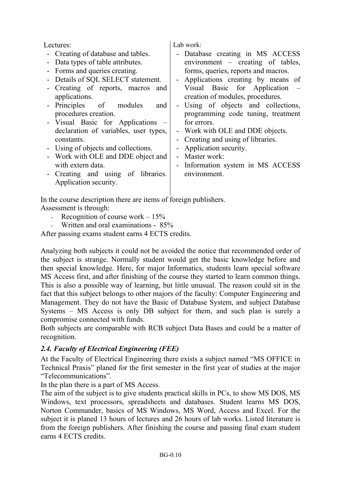- Creating of database and tables.
- Data types of table attributes.
- Forms and queries creating.
- Details of SOL SELECT statement.
- Creating of reports, macros and applications.
- Principles of modules and procedures creation.
- Visual Basic for Applications declaration of variables, user types, constants.
- Using of objects and collections.
- Work with OLE and DDE object and with extern data.
- Creating and using of libraries. Application security.

Lectures: Lectures: Lab work:

- Database creating in MS ACCESS environment – creating of tables, forms, queries, reports and macros.
- Applications creating by means of Visual Basic for Application – creation of modules, procedures.
- Using of objects and collections, programming code tuning, treatment for errors.
- Work with OLE and DDE objects.
- Creating and using of libraries.
- Application security.
- Master work:
- Information system in MS ACCESS environment.

In the course description there are items of foreign publishers. Assessment is through:

- Recognition of course work  $-15%$
- Written and oral examinations 85%

After passing exams student earns 4 ECTS credits.

Analyzing both subjects it could not be avoided the notice that recommended order of the subject is strange. Normally student would get the basic knowledge before and then special knowledge. Here, for major Informatics, students learn special software MS Access first, and after finishing of the course they started to learn common things. This is also a possible way of learning, but little unusual. The reason could sit in the fact that this subject belongs to other majors of the faculty: Computer Engineering and Management. They do not have the Basic of Database System, and subject Database Systems – MS Access is only DB subject for them, and such plan is surely a compromise connected with funds.

Both subjects are comparable with RCB subject Data Bases and could be a matter of recognition.

# *2.4. Faculty of Electrical Engineering (FEE)*

At the Faculty of Electrical Engineering there exists a subject named "MS OFFICE in Technical Praxis" planed for the first semester in the first year of studies at the major "Telecommunications".

In the plan there is a part of MS Access.

The aim of the subject is to give students practical skills in PCs, to show MS DOS, MS Windows, text processors, spreadsheets and databases. Student learns MS DOS, Norton Commander, basics of MS Windows, MS Word, Access and Excel. For the subject it is planed 13 hours of lectures and 26 hours of lab works. Listed literature is from the foreign publishers. After finishing the course and passing final exam student earns 4 ECTS credits.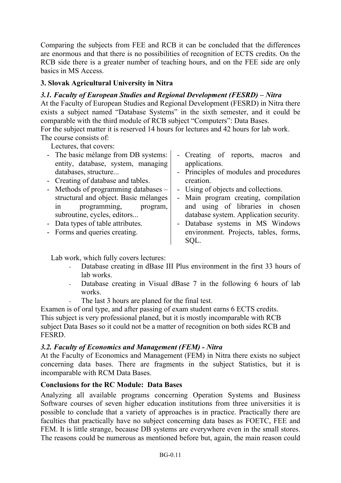Comparing the subjects from FEE and RCB it can be concluded that the differences are enormous and that there is no possibilities of recognition of ECTS credits. On the RCB side there is a greater number of teaching hours, and on the FEE side are only basics in MS Access.

# **3. Slovak Agricultural University in Nitra**

## *3.1. Faculty of European Studies and Regional Development (FESRD) – Nitra*

At the Faculty of European Studies and Regional Development (FESRD) in Nitra there exists a subject named "Database Systems" in the sixth semester, and it could be comparable with the third module of RCB subject "Computers": Data Bases.

For the subject matter it is reserved 14 hours for lectures and 42 hours for lab work. The course consists of:

Lectures, that covers:

- The basic mélange from DB systems: entity, database, system, managing databases, structure...
- Creating of database and tables.
- Methods of programming databases structural and object. Basic mélanges in programming, program, subroutine, cycles, editors...
- Data types of table attributes.
- Forms and queries creating.
- Creating of reports, macros and applications.
- Principles of modules and procedures creation.
- Using of objects and collections.
- Main program creating, compilation and using of libraries in chosen database system. Application security.
- Database systems in MS Windows environment. Projects, tables, forms, SQL.

Lab work, which fully covers lectures:

- Database creating in dBase III Plus environment in the first 33 hours of lab works.
- Database creating in Visual dBase 7 in the following 6 hours of lab works.
- The last 3 hours are planed for the final test.

Examen is of oral type, and after passing of exam student earns 6 ECTS credits. This subject is very professional planed, but it is mostly incomparable with RCB subject Data Bases so it could not be a matter of recognition on both sides RCB and FESRD.

### *3.2. Faculty of Economics and Management (FEM) - Nitra*

At the Faculty of Economics and Management (FEM) in Nitra there exists no subject concerning data bases. There are fragments in the subject Statistics, but it is incomparable with RCM Data Bases.

### **Conclusions for the RC Module: Data Bases**

Analyzing all available programs concerning Operation Systems and Business Software courses of seven higher education institutions from three universities it is possible to conclude that a variety of approaches is in practice. Practically there are faculties that practically have no subject concerning data bases as FOETC, FEE and FEM. It is little strange, because DB systems are everywhere even in the small stores. The reasons could be numerous as mentioned before but, again, the main reason could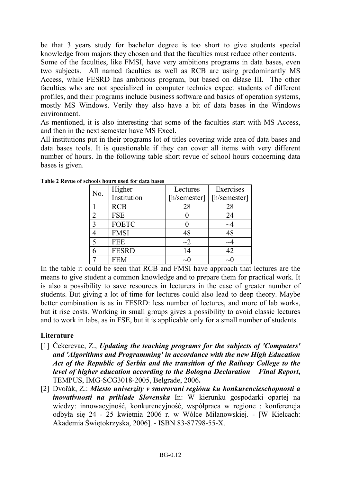be that 3 years study for bachelor degree is too short to give students special knowledge from majors they chosen and that the faculties must reduce other contents.

Some of the faculties, like FMSI, have very ambitions programs in data bases, even two subjects. All named faculties as well as RCB are using predominantly MS Access, while FESRD has ambitious program, but based on dBase III. The other faculties who are not specialized in computer technics expect students of different profiles, and their programs include business software and basics of operation systems, mostly MS Windows. Verily they also have a bit of data bases in the Windows environment.

As mentioned, it is also interesting that some of the faculties start with MS Access, and then in the next semester have MS Excel.

All institutions put in their programs lot of titles covering wide area of data bases and data bases tools. It is questionable if they can cover all items with very different number of hours. In the following table short revue of school hours concerning data bases is given.

| No. | Higher       | Lectures     | Exercises    |
|-----|--------------|--------------|--------------|
|     | Institution  | [h/semester] | [h/semester] |
|     | <b>RCB</b>   | 28           | 28           |
| ↑   | <b>FSE</b>   |              | 24           |
| 3   | <b>FOETC</b> |              | $\sim\!\!4$  |
|     | <b>FMSI</b>  | 48           | 48           |
| ς   | <b>FEE</b>   | $\sim$ 2     | $\sim\!\!4$  |
|     | <b>FESRD</b> | 14           | 42           |
|     | <b>FEM</b>   |              |              |

**Table 2 Revue of schools hours used for data bases** 

In the table it could be seen that RCB and FMSI have approach that lectures are the means to give student a common knowledge and to prepare them for practical work. It is also a possibility to save resources in lecturers in the case of greater number of students. But giving a lot of time for lectures could also lead to deep theory. Maybe better combination is as in FESRD: less number of lectures, and more of lab works, but it rise costs. Working in small groups gives a possibility to avoid classic lectures and to work in labs, as in FSE, but it is applicable only for a small number of students.

# **Literature**

- [1] Čekerevac, Z., *Updating the teaching programs for the subjects of 'Computers' and 'Algorithms and Programming' in accordance with the new High Education Act of the Republic of Serbia and the transition of the Railway College to the level of higher education according to the Bologna Declaration – Final Report***,**  TEMPUS, IMG-SCG3018-2005, Belgrade, 2006**.**
- [2] Dvořák, Z.: *Miesto univerzity v smerovaní regiónu ku konkurencieschopnosti a inovatívnosti na príklade Slovenska* In: W kierunku gospodarki opartej na wiedzy: innowacyjność, konkurencyjność, współpraca w regione : konferencja odbyła się 24 - 25 kwietnia 2006 r. w Wólce Milanowskiej. - [W Kielcach: Akademia Świętokrzyska, 2006]. - ISBN 83-87798-55-X.